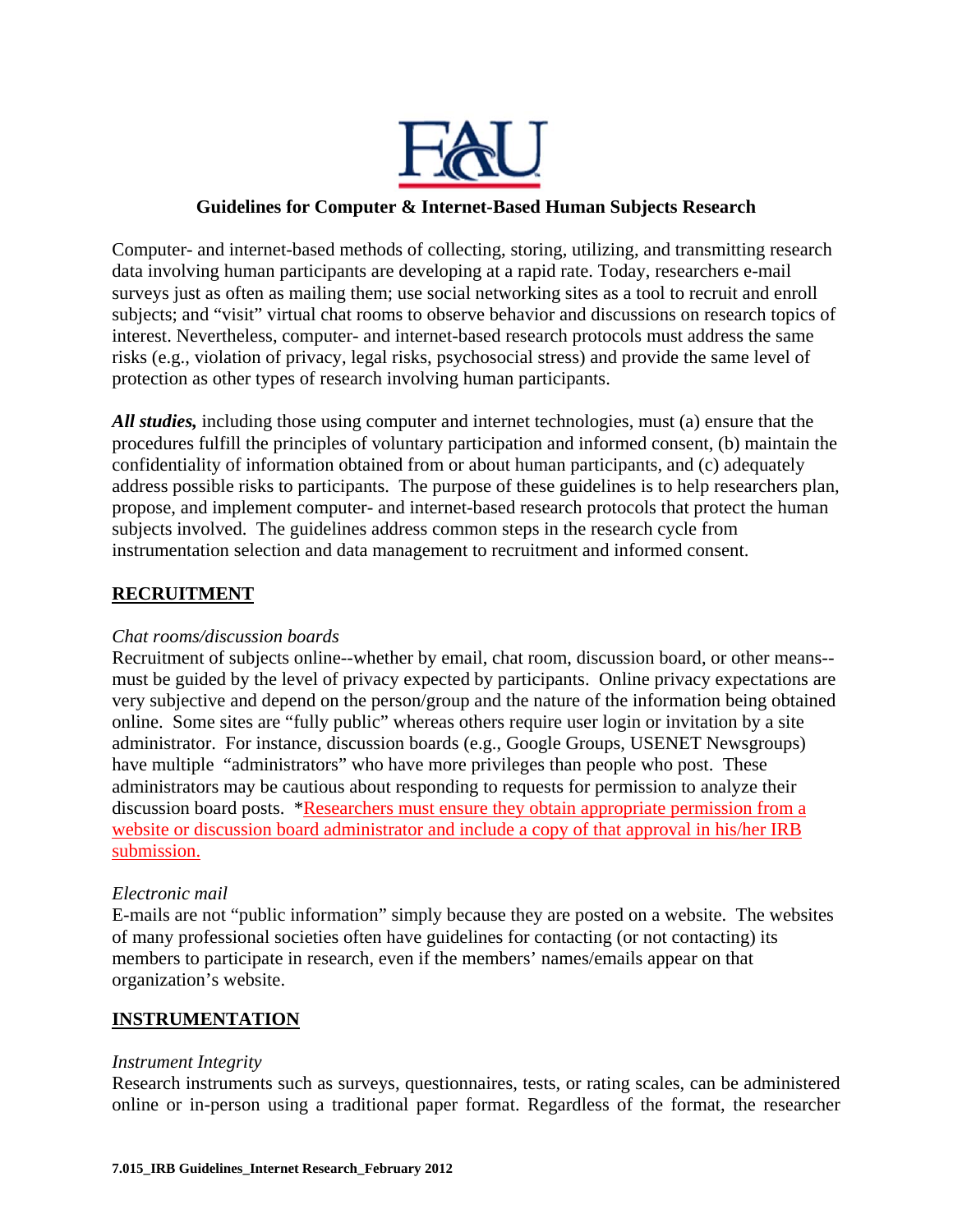

## **Guidelines for Computer & Internet-Based Human Subjects Research**

Computer- and internet-based methods of collecting, storing, utilizing, and transmitting research data involving human participants are developing at a rapid rate. Today, researchers e-mail surveys just as often as mailing them; use social networking sites as a tool to recruit and enroll subjects; and "visit" virtual chat rooms to observe behavior and discussions on research topics of interest. Nevertheless, computer- and internet-based research protocols must address the same risks (e.g., violation of privacy, legal risks, psychosocial stress) and provide the same level of protection as other types of research involving human participants.

*All studies,* including those using computer and internet technologies, must (a) ensure that the procedures fulfill the principles of voluntary participation and informed consent, (b) maintain the confidentiality of information obtained from or about human participants, and (c) adequately address possible risks to participants. The purpose of these guidelines is to help researchers plan, propose, and implement computer- and internet-based research protocols that protect the human subjects involved. The guidelines address common steps in the research cycle from instrumentation selection and data management to recruitment and informed consent.

# **RECRUITMENT**

## *Chat rooms/discussion boards*

Recruitment of subjects online--whether by email, chat room, discussion board, or other means- must be guided by the level of privacy expected by participants. Online privacy expectations are very subjective and depend on the person/group and the nature of the information being obtained online. Some sites are "fully public" whereas others require user login or invitation by a site administrator. For instance, discussion boards (e.g., Google Groups, USENET Newsgroups) have multiple "administrators" who have more privileges than people who post. These administrators may be cautious about responding to requests for permission to analyze their discussion board posts. \*Researchers must ensure they obtain appropriate permission from a website or discussion board administrator and include a copy of that approval in his/her IRB submission.

#### *Electronic mail*

E-mails are not "public information" simply because they are posted on a website. The websites of many professional societies often have guidelines for contacting (or not contacting) its members to participate in research, even if the members' names/emails appear on that organization's website.

## **INSTRUMENTATION**

#### *Instrument Integrity*

Research instruments such as surveys, questionnaires, tests, or rating scales, can be administered online or in-person using a traditional paper format. Regardless of the format, the researcher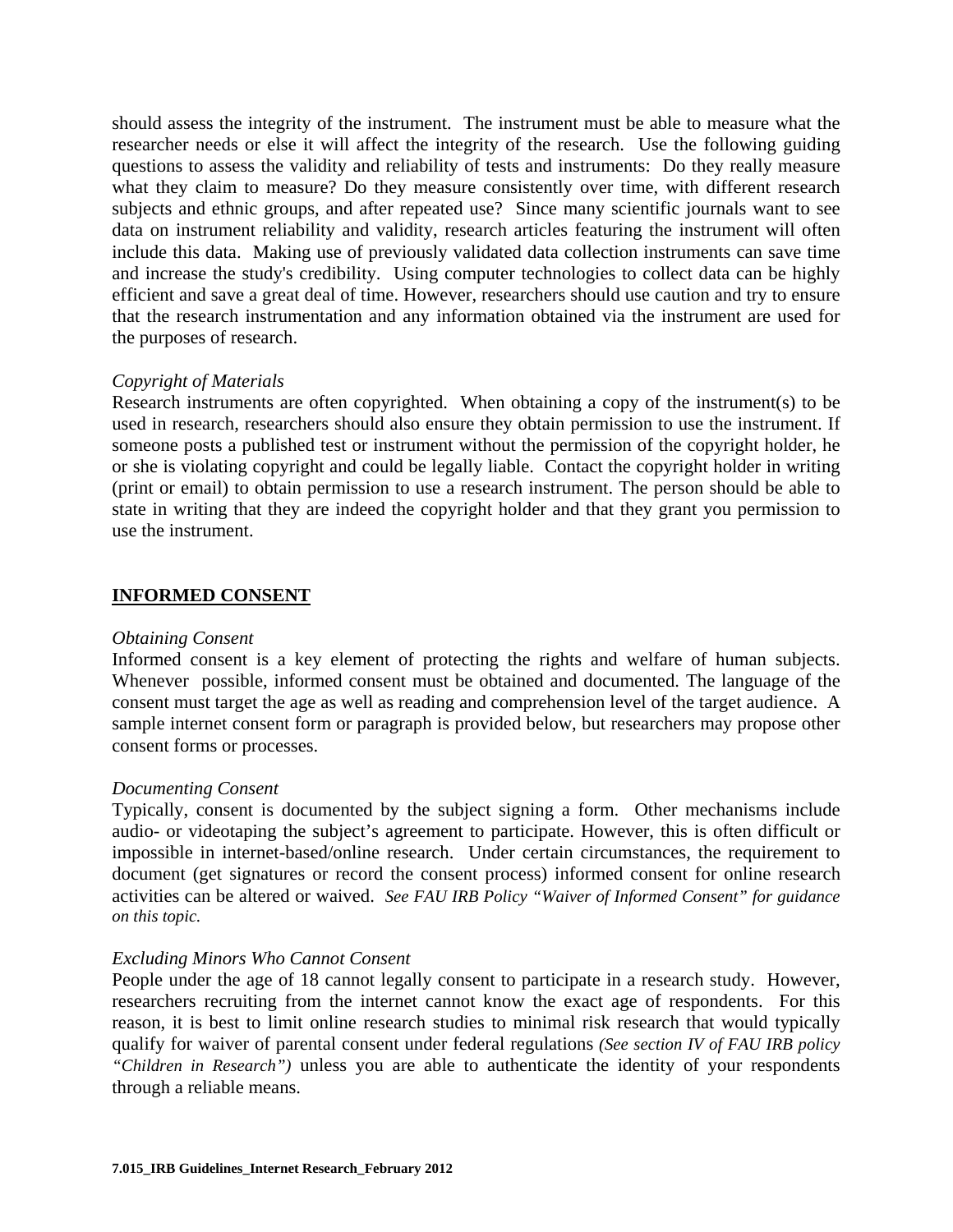should assess the integrity of the instrument. The instrument must be able to measure what the researcher needs or else it will affect the integrity of the research. Use the following guiding questions to assess the validity and reliability of tests and instruments: Do they really measure what they claim to measure? Do they measure consistently over time, with different research subjects and ethnic groups, and after repeated use? Since many scientific journals want to see data on instrument reliability and validity, research articles featuring the instrument will often include this data. Making use of previously validated data collection instruments can save time and increase the study's credibility. Using computer technologies to collect data can be highly efficient and save a great deal of time. However, researchers should use caution and try to ensure that the research instrumentation and any information obtained via the instrument are used for the purposes of research.

## *Copyright of Materials*

Research instruments are often copyrighted. When obtaining a copy of the instrument(s) to be used in research, researchers should also ensure they obtain permission to use the instrument. If someone posts a published test or instrument without the permission of the copyright holder, he or she is violating copyright and could be legally liable. Contact the copyright holder in writing (print or email) to obtain permission to use a research instrument. The person should be able to state in writing that they are indeed the copyright holder and that they grant you permission to use the instrument.

## **INFORMED CONSENT**

## *Obtaining Consent*

Informed consent is a key element of protecting the rights and welfare of human subjects. Whenever possible, informed consent must be obtained and documented. The language of the consent must target the age as well as reading and comprehension level of the target audience. A sample internet consent form or paragraph is provided below, but researchers may propose other consent forms or processes.

#### *Documenting Consent*

Typically, consent is documented by the subject signing a form. Other mechanisms include audio- or videotaping the subject's agreement to participate. However, this is often difficult or impossible in internet-based/online research. Under certain circumstances, the requirement to document (get signatures or record the consent process) informed consent for online research activities can be altered or waived. *See FAU IRB Policy "Waiver of Informed Consent" for guidance on this topic.* 

## *Excluding Minors Who Cannot Consent*

People under the age of 18 cannot legally consent to participate in a research study. However, researchers recruiting from the internet cannot know the exact age of respondents. For this reason, it is best to limit online research studies to minimal risk research that would typically qualify for waiver of parental consent under federal regulations *(See section IV of FAU IRB policy "Children in Research")* unless you are able to authenticate the identity of your respondents through a reliable means.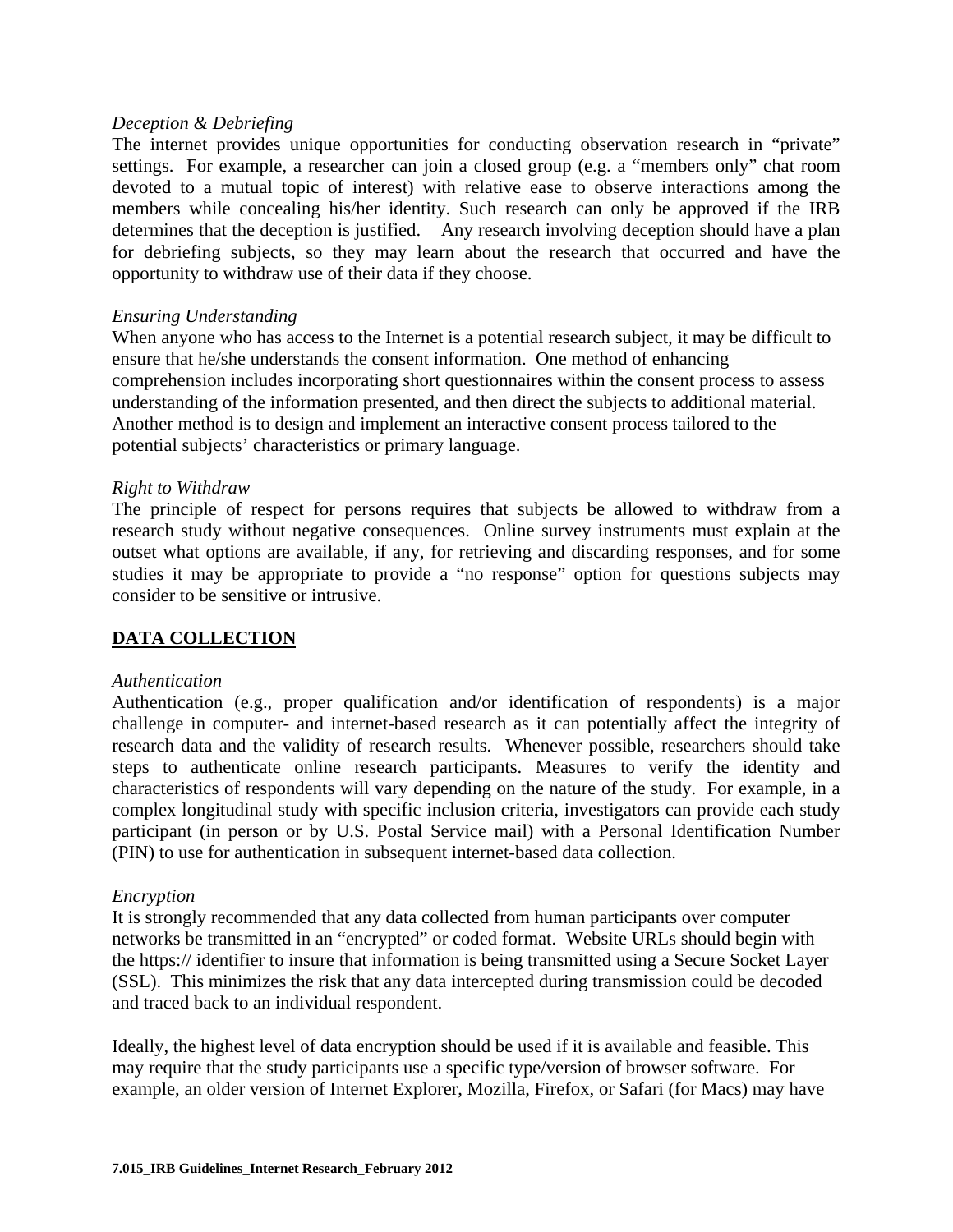#### *Deception & Debriefing*

The internet provides unique opportunities for conducting observation research in "private" settings. For example, a researcher can join a closed group (e.g. a "members only" chat room devoted to a mutual topic of interest) with relative ease to observe interactions among the members while concealing his/her identity. Such research can only be approved if the IRB determines that the deception is justified. Any research involving deception should have a plan for debriefing subjects, so they may learn about the research that occurred and have the opportunity to withdraw use of their data if they choose.

## *Ensuring Understanding*

When anyone who has access to the Internet is a potential research subject, it may be difficult to ensure that he/she understands the consent information. One method of enhancing comprehension includes incorporating short questionnaires within the consent process to assess understanding of the information presented, and then direct the subjects to additional material. Another method is to design and implement an interactive consent process tailored to the potential subjects' characteristics or primary language.

## *Right to Withdraw*

The principle of respect for persons requires that subjects be allowed to withdraw from a research study without negative consequences. Online survey instruments must explain at the outset what options are available, if any, for retrieving and discarding responses, and for some studies it may be appropriate to provide a "no response" option for questions subjects may consider to be sensitive or intrusive.

## **DATA COLLECTION**

#### *Authentication*

Authentication (e.g., proper qualification and/or identification of respondents) is a major challenge in computer- and internet-based research as it can potentially affect the integrity of research data and the validity of research results. Whenever possible, researchers should take steps to authenticate online research participants. Measures to verify the identity and characteristics of respondents will vary depending on the nature of the study. For example, in a complex longitudinal study with specific inclusion criteria, investigators can provide each study participant (in person or by U.S. Postal Service mail) with a Personal Identification Number (PIN) to use for authentication in subsequent internet-based data collection.

#### *Encryption*

It is strongly recommended that any data collected from human participants over computer networks be transmitted in an "encrypted" or coded format. Website URLs should begin with the https:// identifier to insure that information is being transmitted using a Secure Socket Layer (SSL). This minimizes the risk that any data intercepted during transmission could be decoded and traced back to an individual respondent.

Ideally, the highest level of data encryption should be used if it is available and feasible. This may require that the study participants use a specific type/version of browser software. For example, an older version of Internet Explorer, Mozilla, Firefox, or Safari (for Macs) may have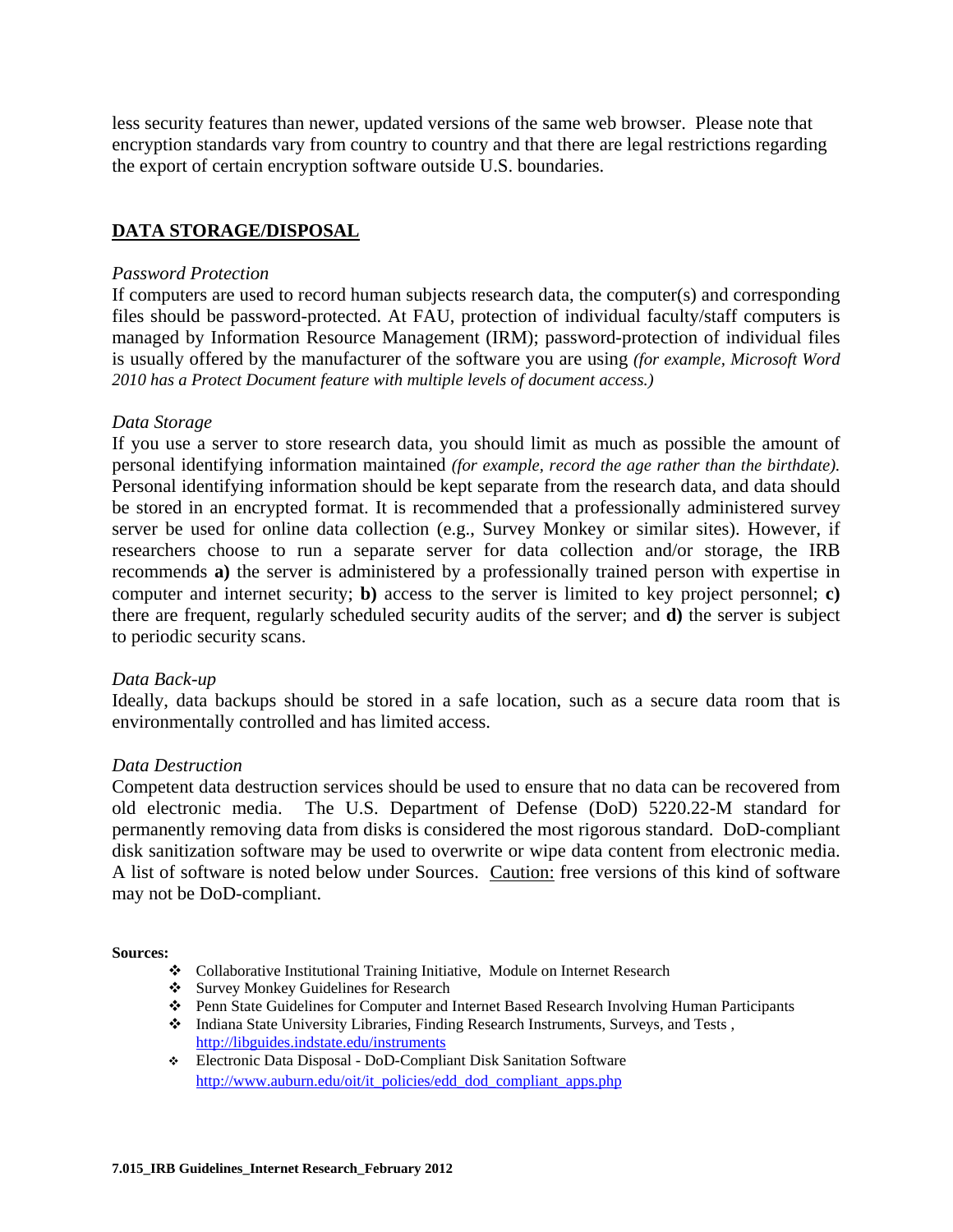less security features than newer, updated versions of the same web browser. Please note that encryption standards vary from country to country and that there are legal restrictions regarding the export of certain encryption software outside U.S. boundaries.

# **DATA STORAGE/DISPOSAL**

#### *Password Protection*

If computers are used to record human subjects research data, the computer(s) and corresponding files should be password-protected. At FAU, protection of individual faculty/staff computers is managed by Information Resource Management (IRM); password-protection of individual files is usually offered by the manufacturer of the software you are using *(for example, Microsoft Word 2010 has a Protect Document feature with multiple levels of document access.)*

#### *Data Storage*

If you use a server to store research data, you should limit as much as possible the amount of personal identifying information maintained *(for example, record the age rather than the birthdate).* Personal identifying information should be kept separate from the research data, and data should be stored in an encrypted format. It is recommended that a professionally administered survey server be used for online data collection (e.g., Survey Monkey or similar sites). However, if researchers choose to run a separate server for data collection and/or storage, the IRB recommends **a)** the server is administered by a professionally trained person with expertise in computer and internet security; **b)** access to the server is limited to key project personnel; **c)** there are frequent, regularly scheduled security audits of the server; and **d)** the server is subject to periodic security scans.

#### *Data Back-up*

Ideally, data backups should be stored in a safe location, such as a secure data room that is environmentally controlled and has limited access.

#### *Data Destruction*

Competent data destruction services should be used to ensure that no data can be recovered from old electronic media. The U.S. Department of Defense (DoD) 5220.22-M standard for permanently removing data from disks is considered the most rigorous standard. DoD-compliant disk sanitization software may be used to overwrite or wipe data content from electronic media. A list of software is noted below under Sources. Caution: free versions of this kind of software may not be DoD-compliant.

#### **Sources:**

- Collaborative Institutional Training Initiative, Module on Internet Research
- Survey Monkey Guidelines for Research
- Penn State Guidelines for Computer and Internet Based Research Involving Human Participants
- Indiana State University Libraries, Finding Research Instruments, Surveys, and Tests , http://libguides.indstate.edu/instruments
- Electronic Data Disposal DoD-Compliant Disk Sanitation Software http://www.auburn.edu/oit/it\_policies/edd\_dod\_compliant\_apps.php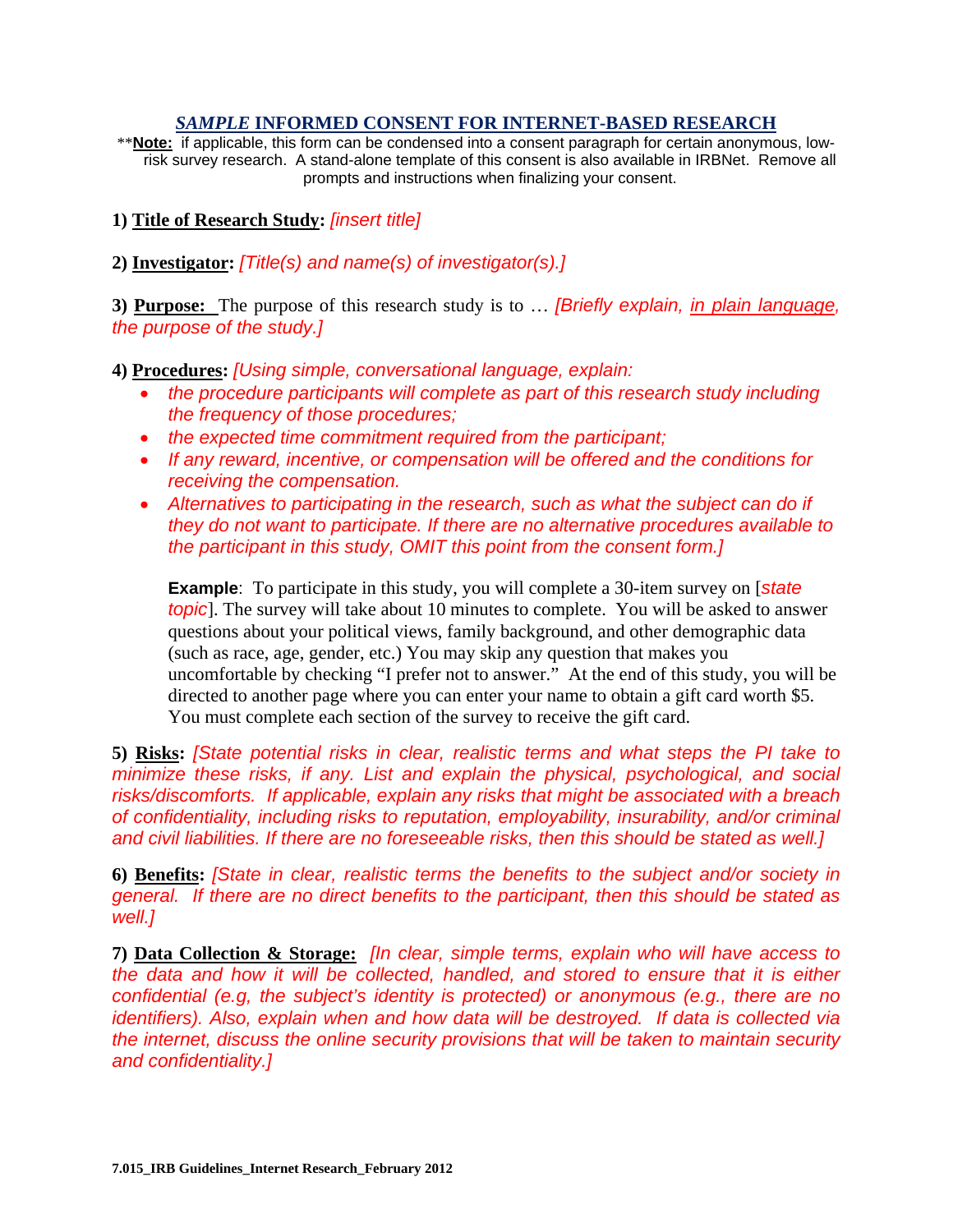#### *SAMPLE* **INFORMED CONSENT FOR INTERNET-BASED RESEARCH**

\*\***Note:** if applicable, this form can be condensed into a consent paragraph for certain anonymous, lowrisk survey research. A stand-alone template of this consent is also available in IRBNet. Remove all prompts and instructions when finalizing your consent.

**1) Title of Research Study:** *[insert title]*

**2) Investigator:** *[Title(s) and name(s) of investigator(s).]*

**3) Purpose:** The purpose of this research study is to … *[Briefly explain, in plain language, the purpose of the study.]* 

**4) Procedures:** *[Using simple, conversational language, explain:* 

- the procedure participants will complete as part of this research study including *the frequency of those procedures;*
- *the expected time commitment required from the participant;*
- *If any reward, incentive, or compensation will be offered and the conditions for receiving the compensation.*
- Alternatives to participating in the research, such as what the subject can do if *they do not want to participate. If there are no alternative procedures available to the participant in this study, OMIT this point from the consent form.]*

**Example**: To participate in this study, you will complete a 30-item survey on [*state topic*]. The survey will take about 10 minutes to complete. You will be asked to answer questions about your political views, family background, and other demographic data (such as race, age, gender, etc.) You may skip any question that makes you uncomfortable by checking "I prefer not to answer." At the end of this study, you will be directed to another page where you can enter your name to obtain a gift card worth \$5. You must complete each section of the survey to receive the gift card.

**5) Risks:** *[State potential risks in clear, realistic terms and what steps the PI take to minimize these risks, if any. List and explain the physical, psychological, and social risks/discomforts. If applicable, explain any risks that might be associated with a breach of confidentiality, including risks to reputation, employability, insurability, and/or criminal and civil liabilities. If there are no foreseeable risks, then this should be stated as well.]*

**6) Benefits:** *[State in clear, realistic terms the benefits to the subject and/or society in general. If there are no direct benefits to the participant, then this should be stated as well.]* 

**7) Data Collection & Storage:** *[In clear, simple terms, explain who will have access to the data and how it will be collected, handled, and stored to ensure that it is either confidential (e.g, the subject's identity is protected) or anonymous (e.g., there are no identifiers). Also, explain when and how data will be destroyed. If data is collected via the internet, discuss the online security provisions that will be taken to maintain security and confidentiality.]*